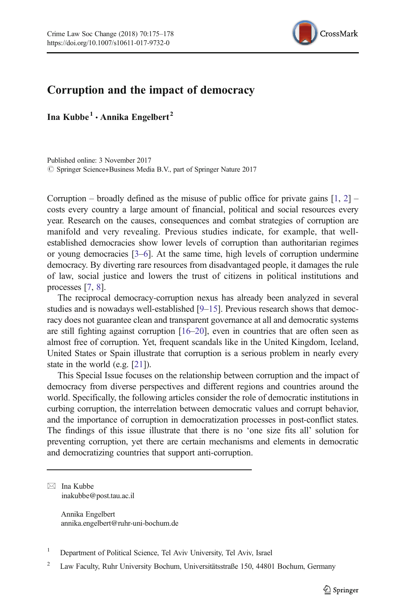

## Corruption and the impact of democracy

Ina Kubbe<sup>1</sup>  $\cdot$  Annika Engelbert<sup>2</sup>

Published online: 3 November 2017 © Springer Science+Business Media B.V., part of Springer Nature 2017

Corruption – broadly defined as the misuse of public office for private gains  $[1, 2]$  $[1, 2]$  $[1, 2]$  $[1, 2]$  – costs every country a large amount of financial, political and social resources every year. Research on the causes, consequences and combat strategies of corruption are manifold and very revealing. Previous studies indicate, for example, that wellestablished democracies show lower levels of corruption than authoritarian regimes or young democracies [[3](#page-2-0)–[6](#page-2-0)]. At the same time, high levels of corruption undermine democracy. By diverting rare resources from disadvantaged people, it damages the rule of law, social justice and lowers the trust of citizens in political institutions and processes [\[7,](#page-2-0) [8](#page-2-0)].

The reciprocal democracy-corruption nexus has already been analyzed in several studies and is nowadays well-established [\[9](#page-2-0)–[15\]](#page-3-0). Previous research shows that democracy does not guarantee clean and transparent governance at all and democratic systems are still fighting against corruption [\[16](#page-3-0)–[20\]](#page-3-0), even in countries that are often seen as almost free of corruption. Yet, frequent scandals like in the United Kingdom, Iceland, United States or Spain illustrate that corruption is a serious problem in nearly every state in the world (e.g. [\[21](#page-3-0)]).

This Special Issue focuses on the relationship between corruption and the impact of democracy from diverse perspectives and different regions and countries around the world. Specifically, the following articles consider the role of democratic institutions in curbing corruption, the interrelation between democratic values and corrupt behavior, and the importance of corruption in democratization processes in post-conflict states. The findings of this issue illustrate that there is no 'one size fits all' solution for preventing corruption, yet there are certain mechanisms and elements in democratic and democratizing countries that support anti-corruption.

 $\boxtimes$  Ina Kubbe [inakubbe@post.tau.ac.il](mailto:inakubbe@post.tau.ac.il)

> Annika Engelbert annika.engelbert@ruhr-uni-bochum.de

<sup>1</sup> Department of Political Science, Tel Aviv University, Tel Aviv, Israel

<sup>2</sup> Law Faculty, Ruhr University Bochum, Universitätsstraße 150, 44801 Bochum, Germany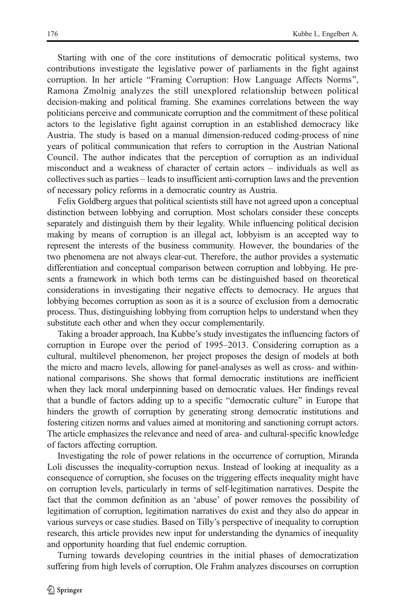Starting with one of the core institutions of democratic political systems, two contributions investigate the legislative power of parliaments in the fight against corruption. In her article "Framing Corruption: How Language Affects Norms", Ramona Zmolnig analyzes the still unexplored relationship between political decision-making and political framing. She examines correlations between the way politicians perceive and communicate corruption and the commitment of these political actors to the legislative fight against corruption in an established democracy like Austria. The study is based on a manual dimension-reduced coding-process of nine years of political communication that refers to corruption in the Austrian National Council. The author indicates that the perception of corruption as an individual misconduct and a weakness of character of certain actors – individuals as well as collectives such as parties – leads to insufficient anti-corruption laws and the prevention of necessary policy reforms in a democratic country as Austria.

Felix Goldberg argues that political scientists still have not agreed upon a conceptual distinction between lobbying and corruption. Most scholars consider these concepts separately and distinguish them by their legality. While influencing political decision making by means of corruption is an illegal act, lobbyism is an accepted way to represent the interests of the business community. However, the boundaries of the two phenomena are not always clear-cut. Therefore, the author provides a systematic differentiation and conceptual comparison between corruption and lobbying. He presents a framework in which both terms can be distinguished based on theoretical considerations in investigating their negative effects to democracy. He argues that lobbying becomes corruption as soon as it is a source of exclusion from a democratic process. Thus, distinguishing lobbying from corruption helps to understand when they substitute each other and when they occur complementarily.

Taking a broader approach, Ina Kubbe's study investigates the influencing factors of corruption in Europe over the period of 1995–2013. Considering corruption as a cultural, multilevel phenomenon, her project proposes the design of models at both the micro and macro levels, allowing for panel-analyses as well as cross- and withinnational comparisons. She shows that formal democratic institutions are inefficient when they lack moral underpinning based on democratic values. Her findings reveal that a bundle of factors adding up to a specific "democratic culture" in Europe that hinders the growth of corruption by generating strong democratic institutions and fostering citizen norms and values aimed at monitoring and sanctioning corrupt actors. The article emphasizes the relevance and need of area- and cultural-specific knowledge of factors affecting corruption.

Investigating the role of power relations in the occurrence of corruption, Miranda Loli discusses the inequality-corruption nexus. Instead of looking at inequality as a consequence of corruption, she focuses on the triggering effects inequality might have on corruption levels, particularly in terms of self-legitimation narratives. Despite the fact that the common definition as an 'abuse' of power removes the possibility of legitimation of corruption, legitimation narratives do exist and they also do appear in various surveys or case studies. Based on Tilly's perspective of inequality to corruption research, this article provides new input for understanding the dynamics of inequality and opportunity hoarding that fuel endemic corruption.

Turning towards developing countries in the initial phases of democratization suffering from high levels of corruption, Ole Frahm analyzes discourses on corruption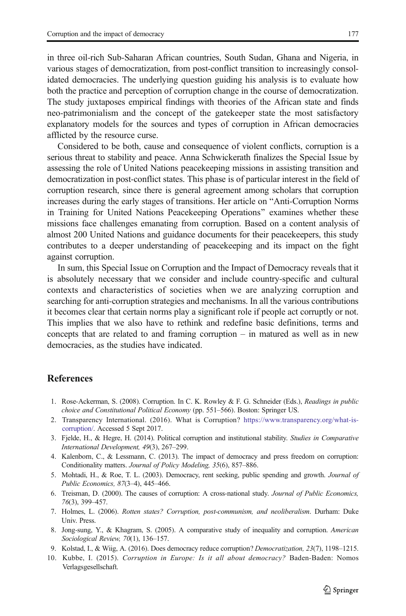<span id="page-2-0"></span>in three oil-rich Sub-Saharan African countries, South Sudan, Ghana and Nigeria, in various stages of democratization, from post-conflict transition to increasingly consolidated democracies. The underlying question guiding his analysis is to evaluate how both the practice and perception of corruption change in the course of democratization. The study juxtaposes empirical findings with theories of the African state and finds neo-patrimonialism and the concept of the gatekeeper state the most satisfactory explanatory models for the sources and types of corruption in African democracies afflicted by the resource curse.

Considered to be both, cause and consequence of violent conflicts, corruption is a serious threat to stability and peace. Anna Schwickerath finalizes the Special Issue by assessing the role of United Nations peacekeeping missions in assisting transition and democratization in post-conflict states. This phase is of particular interest in the field of corruption research, since there is general agreement among scholars that corruption increases during the early stages of transitions. Her article on "Anti-Corruption Norms" in Training for United Nations Peacekeeping Operations^ examines whether these missions face challenges emanating from corruption. Based on a content analysis of almost 200 United Nations and guidance documents for their peacekeepers, this study contributes to a deeper understanding of peacekeeping and its impact on the fight against corruption.

In sum, this Special Issue on Corruption and the Impact of Democracy reveals that it is absolutely necessary that we consider and include country-specific and cultural contexts and characteristics of societies when we are analyzing corruption and searching for anti-corruption strategies and mechanisms. In all the various contributions it becomes clear that certain norms play a significant role if people act corruptly or not. This implies that we also have to rethink and redefine basic definitions, terms and concepts that are related to and framing corruption – in matured as well as in new democracies, as the studies have indicated.

## **References**

- 1. Rose-Ackerman, S. (2008). Corruption. In C. K. Rowley & F. G. Schneider (Eds.), Readings in public choice and Constitutional Political Economy (pp. 551–566). Boston: Springer US.
- 2. Transparency International. (2016). What is Corruption? [https://www.transparency.org/what-is](https://www.transparency.org/what-is-corruption/)[corruption/](https://www.transparency.org/what-is-corruption/). Accessed 5 Sept 2017.
- 3. Fjelde, H., & Hegre, H. (2014). Political corruption and institutional stability. Studies in Comparative International Development, 49(3), 267–299.
- 4. Kalenborn, C., & Lessmann, C. (2013). The impact of democracy and press freedom on corruption: Conditionality matters. Journal of Policy Modeling, 35(6), 857–886.
- 5. Mohtadi, H., & Roe, T. L. (2003). Democracy, rent seeking, public spending and growth. Journal of Public Economics, 87(3–4), 445–466.
- 6. Treisman, D. (2000). The causes of corruption: A cross-national study. Journal of Public Economics, 76(3), 399–457.
- 7. Holmes, L. (2006). Rotten states? Corruption, post-communism, and neoliberalism. Durham: Duke Univ. Press.
- 8. Jong-sung, Y., & Khagram, S. (2005). A comparative study of inequality and corruption. American Sociological Review, 70(1), 136-157.
- 9. Kolstad, I., & Wiig, A. (2016). Does democracy reduce corruption? Democratization, 23(7), 1198–1215.
- 10. Kubbe, I. (2015). Corruption in Europe: Is it all about democracy? Baden-Baden: Nomos Verlagsgesellschaft.